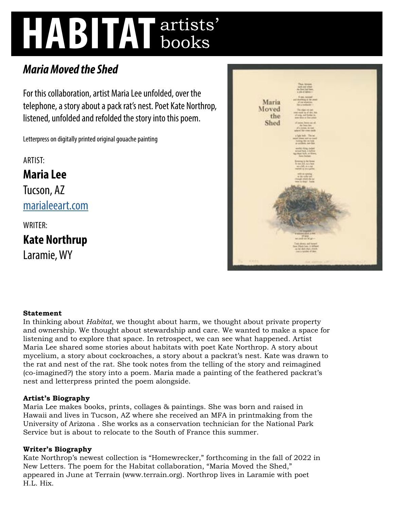# **HABITAT** artists' books

## *Maria Moved the Shed*

For this collaboration, artist Maria Lee unfolded, over the telephone, a story about a pack rat's nest. Poet Kate Northrop, listened, unfolded and refolded the story into this poem.

Letterpress on digitally printed original gouache painting

ARTIST:

**Maria Lee**  Tucson, AZ [marialeeart.com](http://marialeeart.com)

WRITER:

**Kate Northrup** 

Laramie, WY



### **Statement**

In thinking about *Habitat*, we thought about harm, we thought about private property and ownership. We thought about stewardship and care. We wanted to make a space for listening and to explore that space. In retrospect, we can see what happened. Artist Maria Lee shared some stories about habitats with poet Kate Northrop. A story about mycelium, a story about cockroaches, a story about a packrat's nest. Kate was drawn to the rat and nest of the rat. She took notes from the telling of the story and reimagined (co-imagined?) the story into a poem. Maria made a painting of the feathered packrat's nest and letterpress printed the poem alongside.

#### **Artist's Biography**

Maria Lee makes books, prints, collages & paintings. She was born and raised in Hawaii and lives in Tucson, AZ where she received an MFA in printmaking from the University of Arizona . She works as a conservation technician for the National Park Service but is about to relocate to the South of France this summer.

### **Writer's Biography**

Kate Northrop's newest collection is "Homewrecker," forthcoming in the fall of 2022 in New Letters. The poem for the Habitat collaboration, "Maria Moved the Shed," appeared in June at Terrain (www.terrain.org). Northrop lives in Laramie with poet H.L. Hix.